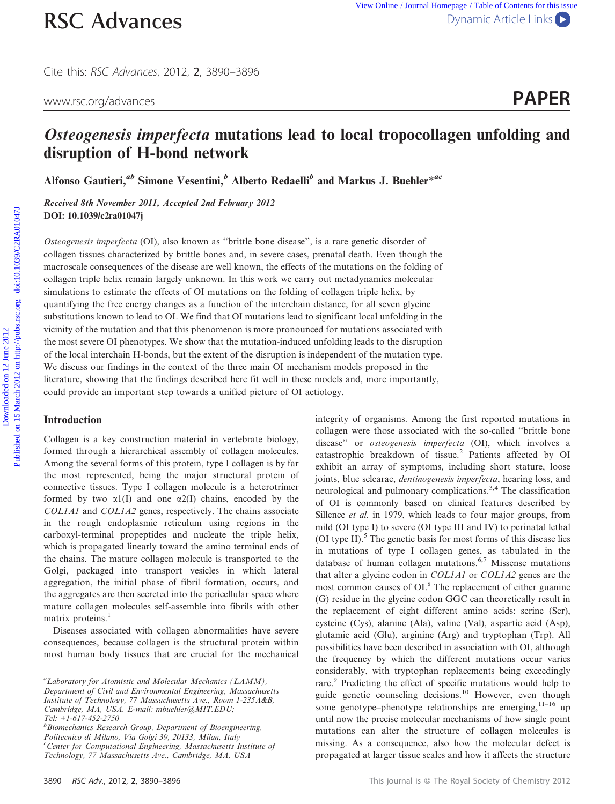Cite this: RSC Advances, 2012, 2, 3890–3896

www.rsc.org/advances **PAPER** 



# Osteogenesis imperfecta mutations lead to local tropocollagen unfolding and disruption of H-bond network

Alfonso Gautieri,<sup>ab</sup> Simone Vesentini,<sup>b</sup> Alberto Redaelli<sup>b</sup> and Markus J. Buehler<sup>\*ac</sup>

Received 8th November 2011, Accepted 2nd February 2012 DOI: 10.1039/c2ra01047j

Osteogenesis imperfecta (OI), also known as ''brittle bone disease'', is a rare genetic disorder of collagen tissues characterized by brittle bones and, in severe cases, prenatal death. Even though the macroscale consequences of the disease are well known, the effects of the mutations on the folding of collagen triple helix remain largely unknown. In this work we carry out metadynamics molecular simulations to estimate the effects of OI mutations on the folding of collagen triple helix, by quantifying the free energy changes as a function of the interchain distance, for all seven glycine substitutions known to lead to OI. We find that OI mutations lead to significant local unfolding in the vicinity of the mutation and that this phenomenon is more pronounced for mutations associated with the most severe OI phenotypes. We show that the mutation-induced unfolding leads to the disruption of the local interchain H-bonds, but the extent of the disruption is independent of the mutation type. We discuss our findings in the context of the three main OI mechanism models proposed in the literature, showing that the findings described here fit well in these models and, more importantly, could provide an important step towards a unified picture of OI aetiology. **PASC Advances**<br>
Cite this *its. Iddvances*, 2012, 2, 3880–3896<br>
www.rsc.org/advances<br>
Were Were The composite interpreted mutations lead to local tropocollagen unfolding and<br>
distruption of H-bond network<br>
Alfonso Gaut

# Introduction

Collagen is a key construction material in vertebrate biology, formed through a hierarchical assembly of collagen molecules. Among the several forms of this protein, type I collagen is by far the most represented, being the major structural protein of connective tissues. Type I collagen molecule is a heterotrimer formed by two  $\alpha$ 1(I) and one  $\alpha$ 2(I) chains, encoded by the COL1A1 and COL1A2 genes, respectively. The chains associate in the rough endoplasmic reticulum using regions in the carboxyl-terminal propeptides and nucleate the triple helix, which is propagated linearly toward the amino terminal ends of the chains. The mature collagen molecule is transported to the Golgi, packaged into transport vesicles in which lateral aggregation, the initial phase of fibril formation, occurs, and the aggregates are then secreted into the pericellular space where mature collagen molecules self-assemble into fibrils with other matrix proteins.<sup>1</sup>

Diseases associated with collagen abnormalities have severe consequences, because collagen is the structural protein within most human body tissues that are crucial for the mechanical integrity of organisms. Among the first reported mutations in collagen were those associated with the so-called ''brittle bone disease'' or osteogenesis imperfecta (OI), which involves a catastrophic breakdown of tissue.<sup>2</sup> Patients affected by OI exhibit an array of symptoms, including short stature, loose joints, blue sclearae, *dentinogenesis imperfecta*, hearing loss, and neurological and pulmonary complications.<sup>3,4</sup> The classification of OI is commonly based on clinical features described by Sillence *et al.* in 1979, which leads to four major groups, from mild (OI type I) to severe (OI type III and IV) to perinatal lethal (OI type II). $5$  The genetic basis for most forms of this disease lies in mutations of type I collagen genes, as tabulated in the database of human collagen mutations.<sup>6,7</sup> Missense mutations that alter a glycine codon in COL1A1 or COL1A2 genes are the most common causes of OI.<sup>8</sup> The replacement of either guanine (G) residue in the glycine codon GGC can theoretically result in the replacement of eight different amino acids: serine (Ser), cysteine (Cys), alanine (Ala), valine (Val), aspartic acid (Asp), glutamic acid (Glu), arginine (Arg) and tryptophan (Trp). All possibilities have been described in association with OI, although the frequency by which the different mutations occur varies considerably, with tryptophan replacements being exceedingly rare.<sup>9</sup> Predicting the effect of specific mutations would help to guide genetic counseling decisions.<sup>10</sup> However, even though some genotype–phenotype relationships are emerging, $11-16$  up until now the precise molecular mechanisms of how single point mutations can alter the structure of collagen molecules is missing. As a consequence, also how the molecular defect is propagated at larger tissue scales and how it affects the structure

 ${}^{a}$ Laboratory for Atomistic and Molecular Mechanics (LAMM), Department of Civil and Environmental Engineering, Massachusetts Institute of Technology, 77 Massachusetts Ave., Room 1-235A&B, Cambridge, MA, USA. E-mail: mbuehler@MIT.EDU; Tel: +1-617-452-2750

<sup>&</sup>lt;sup>b</sup> Biomechanics Research Group, Department of Bioengineering, Politecnico di Milano, Via Golgi 39, 20133, Milan, Italy <sup>c</sup> Center for Computational Engineering, Massachusetts Institute of Technology, 77 Massachusetts Ave., Cambridge, MA, USA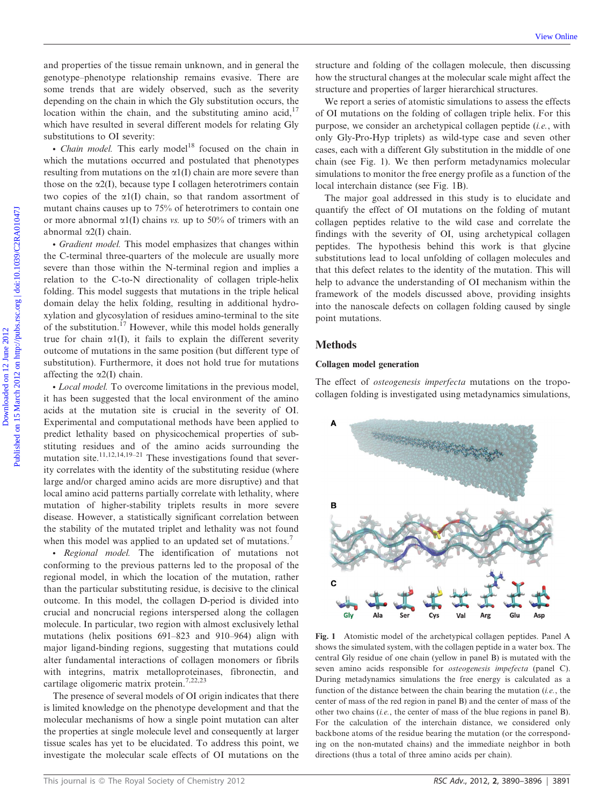and properties of the tissue remain unknown, and in general the genotype–phenotype relationship remains evasive. There are some trends that are widely observed, such as the severity depending on the chain in which the Gly substitution occurs, the location within the chain, and the substituting amino acid, $17$ which have resulted in several different models for relating Gly substitutions to OI severity:

• Chain model. This early model<sup>18</sup> focused on the chain in which the mutations occurred and postulated that phenotypes resulting from mutations on the  $\alpha$ 1(I) chain are more severe than those on the  $\alpha$ 2(I), because type I collagen heterotrimers contain two copies of the  $\alpha$ 1(I) chain, so that random assortment of mutant chains causes up to 75% of heterotrimers to contain one or more abnormal  $\alpha$ 1(I) chains vs. up to 50% of trimers with an abnormal  $\alpha$ 2(I) chain.

• Gradient model. This model emphasizes that changes within the C-terminal three-quarters of the molecule are usually more severe than those within the N-terminal region and implies a relation to the C-to-N directionality of collagen triple-helix folding. This model suggests that mutations in the triple helical domain delay the helix folding, resulting in additional hydroxylation and glycosylation of residues amino-terminal to the site of the substitution.<sup>17</sup> However, while this model holds generally true for chain  $\alpha$ 1(I), it fails to explain the different severity outcome of mutations in the same position (but different type of substitution). Furthermore, it does not hold true for mutations affecting the  $\alpha$ 2(I) chain. and properties of the tissue remain unknown, and in general the structure and folding or the collager modecule, the most constructed on the collager collation and properties of magnitude and the structure of the state of

• Local model. To overcome limitations in the previous model, it has been suggested that the local environment of the amino acids at the mutation site is crucial in the severity of OI. Experimental and computational methods have been applied to predict lethality based on physicochemical properties of substituting residues and of the amino acids surrounding the mutation site.<sup>11,12,14,19–21</sup> These investigations found that severity correlates with the identity of the substituting residue (where large and/or charged amino acids are more disruptive) and that local amino acid patterns partially correlate with lethality, where mutation of higher-stability triplets results in more severe disease. However, a statistically significant correlation between the stability of the mutated triplet and lethality was not found when this model was applied to an updated set of mutations.<sup>7</sup>

• Regional model. The identification of mutations not conforming to the previous patterns led to the proposal of the regional model, in which the location of the mutation, rather than the particular substituting residue, is decisive to the clinical outcome. In this model, the collagen D-period is divided into crucial and noncrucial regions interspersed along the collagen molecule. In particular, two region with almost exclusively lethal mutations (helix positions 691–823 and 910–964) align with major ligand-binding regions, suggesting that mutations could alter fundamental interactions of collagen monomers or fibrils with integrins, matrix metalloproteinases, fibronectin, and cartilage oligomeric matrix protein.7,22,23

The presence of several models of OI origin indicates that there is limited knowledge on the phenotype development and that the molecular mechanisms of how a single point mutation can alter the properties at single molecule level and consequently at larger tissue scales has yet to be elucidated. To address this point, we investigate the molecular scale effects of OI mutations on the structure and folding of the collagen molecule, then discussing how the structural changes at the molecular scale might affect the structure and properties of larger hierarchical structures.

We report a series of atomistic simulations to assess the effects of OI mutations on the folding of collagen triple helix. For this purpose, we consider an archetypical collagen peptide (i.e., with only Gly-Pro-Hyp triplets) as wild-type case and seven other cases, each with a different Gly substitution in the middle of one chain (see Fig. 1). We then perform metadynamics molecular simulations to monitor the free energy profile as a function of the local interchain distance (see Fig. 1B).

The major goal addressed in this study is to elucidate and quantify the effect of OI mutations on the folding of mutant collagen peptides relative to the wild case and correlate the findings with the severity of OI, using archetypical collagen peptides. The hypothesis behind this work is that glycine substitutions lead to local unfolding of collagen molecules and that this defect relates to the identity of the mutation. This will help to advance the understanding of OI mechanism within the framework of the models discussed above, providing insights into the nanoscale defects on collagen folding caused by single point mutations.

# Methods

#### Collagen model generation

The effect of *osteogenesis imperfecta* mutations on the tropocollagen folding is investigated using metadynamics simulations,



Fig. 1 Atomistic model of the archetypical collagen peptides. Panel A shows the simulated system, with the collagen peptide in a water box. The central Gly residue of one chain (yellow in panel B) is mutated with the seven amino acids responsible for osteogenesis impefecta (panel C). During metadynamics simulations the free energy is calculated as a function of the distance between the chain bearing the mutation  $(i.e.,$  the center of mass of the red region in panel B) and the center of mass of the other two chains (i.e., the center of mass of the blue regions in panel B). For the calculation of the interchain distance, we considered only backbone atoms of the residue bearing the mutation (or the corresponding on the non-mutated chains) and the immediate neighbor in both directions (thus a total of three amino acids per chain).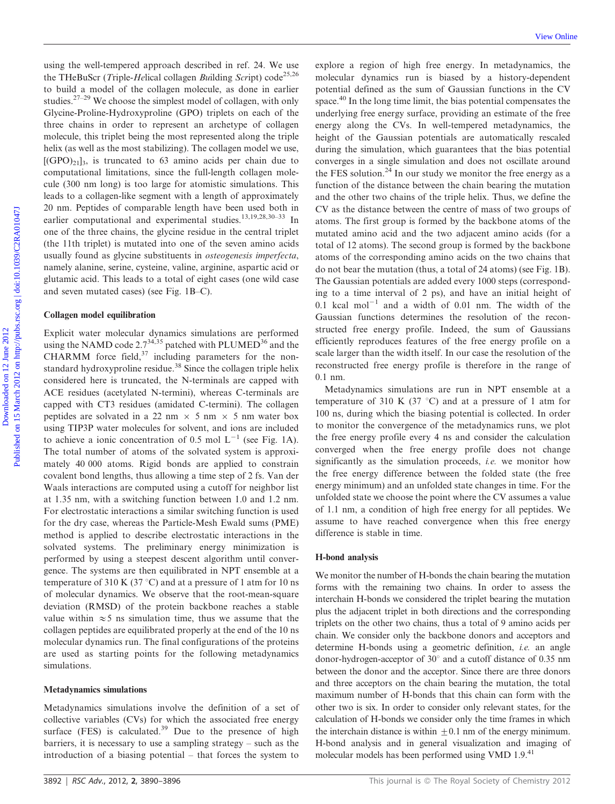using the well-tempered approach described in ref. 24. We use the THeBuScr (Triple-Helical collagen Building Script) code<sup>25,26</sup> to build a model of the collagen molecule, as done in earlier studies.27–29 We choose the simplest model of collagen, with only Glycine-Proline-Hydroxyproline (GPO) triplets on each of the three chains in order to represent an archetype of collagen molecule, this triplet being the most represented along the triple helix (as well as the most stabilizing). The collagen model we use,  $[(\text{GPO})_{21}]_3$ , is truncated to 63 amino acids per chain due to computational limitations, since the full-length collagen molecule (300 nm long) is too large for atomistic simulations. This leads to a collagen-like segment with a length of approximately 20 nm. Peptides of comparable length have been used both in earlier computational and experimental studies.<sup>13,19,28,30-33</sup> In one of the three chains, the glycine residue in the central triplet (the 11th triplet) is mutated into one of the seven amino acids usually found as glycine substituents in osteogenesis imperfecta, namely alanine, serine, cysteine, valine, arginine, aspartic acid or glutamic acid. This leads to a total of eight cases (one wild case and seven mutated cases) (see Fig. 1B–C).

#### Collagen model equilibration

Explicit water molecular dynamics simulations are performed using the NAMD code 2.7<sup>34,35</sup> patched with PLUMED<sup>36</sup> and the CHARMM force field, $37$  including parameters for the nonstandard hydroxyproline residue.<sup>38</sup> Since the collagen triple helix considered here is truncated, the N-terminals are capped with ACE residues (acetylated N-termini), whereas C-terminals are capped with CT3 residues (amidated C-termini). The collagen peptides are solvated in a 22 nm  $\times$  5 nm  $\times$  5 nm water box using TIP3P water molecules for solvent, and ions are included to achieve a ionic concentration of 0.5 mol  $L^{-1}$  (see Fig. 1A). The total number of atoms of the solvated system is approximately 40 000 atoms. Rigid bonds are applied to constrain covalent bond lengths, thus allowing a time step of 2 fs. Van der Waals interactions are computed using a cutoff for neighbor list at 1.35 nm, with a switching function between 1.0 and 1.2 nm. For electrostatic interactions a similar switching function is used for the dry case, whereas the Particle-Mesh Ewald sums (PME) method is applied to describe electrostatic interactions in the solvated systems. The preliminary energy minimization is performed by using a steepest descent algorithm until convergence. The systems are then equilibrated in NPT ensemble at a temperature of 310 K (37 °C) and at a pressure of 1 atm for 10 ns of molecular dynamics. We observe that the root-mean-square deviation (RMSD) of the protein backbone reaches a stable value within  $\approx$  5 ns simulation time, thus we assume that the collagen peptides are equilibrated properly at the end of the 10 ns molecular dynamics run. The final configurations of the proteins are used as starting points for the following metadynamics simulations.

#### Metadynamics simulations

Metadynamics simulations involve the definition of a set of collective variables (CVs) for which the associated free energy surface (FES) is calculated.<sup>39</sup> Due to the presence of high barriers, it is necessary to use a sampling strategy – such as the introduction of a biasing potential – that forces the system to

explore a region of high free energy. In metadynamics, the molecular dynamics run is biased by a history-dependent potential defined as the sum of Gaussian functions in the CV space.<sup>40</sup> In the long time limit, the bias potential compensates the underlying free energy surface, providing an estimate of the free energy along the CVs. In well-tempered metadynamics, the height of the Gaussian potentials are automatically rescaled during the simulation, which guarantees that the bias potential converges in a single simulation and does not oscillate around the FES solution.<sup>24</sup> In our study we monitor the free energy as a function of the distance between the chain bearing the mutation and the other two chains of the triple helix. Thus, we define the CV as the distance between the centre of mass of two groups of atoms. The first group is formed by the backbone atoms of the mutated amino acid and the two adjacent amino acids (for a total of 12 atoms). The second group is formed by the backbone atoms of the corresponding amino acids on the two chains that do not bear the mutation (thus, a total of 24 atoms) (see Fig. 1B). The Gaussian potentials are added every 1000 steps (corresponding to a time interval of 2 ps), and have an initial height of 0.1 kcal mol<sup>-1</sup> and a width of 0.01 nm. The width of the Gaussian functions determines the resolution of the reconstructed free energy profile. Indeed, the sum of Gaussians efficiently reproduces features of the free energy profile on a scale larger than the width itself. In our case the resolution of the reconstructed free energy profile is therefore in the range of 0.1 nm. Using the well-tempered approach described in ref. 24. We use explore a region of bigh free energy. In melastone of the CHE and the HE and the March 2012 of the CHE and the CHE and the CHE and the CHE and the CHE and the

Metadynamics simulations are run in NPT ensemble at a temperature of 310 K (37  $^{\circ}$ C) and at a pressure of 1 atm for 100 ns, during which the biasing potential is collected. In order to monitor the convergence of the metadynamics runs, we plot the free energy profile every 4 ns and consider the calculation converged when the free energy profile does not change significantly as the simulation proceeds, *i.e.* we monitor how the free energy difference between the folded state (the free energy minimum) and an unfolded state changes in time. For the unfolded state we choose the point where the CV assumes a value of 1.1 nm, a condition of high free energy for all peptides. We assume to have reached convergence when this free energy difference is stable in time.

#### H-bond analysis

We monitor the number of H-bonds the chain bearing the mutation forms with the remaining two chains. In order to assess the interchain H-bonds we considered the triplet bearing the mutation plus the adjacent triplet in both directions and the corresponding triplets on the other two chains, thus a total of 9 amino acids per chain. We consider only the backbone donors and acceptors and determine H-bonds using a geometric definition, *i.e.* an angle donor-hydrogen-acceptor of  $30^{\circ}$  and a cutoff distance of 0.35 nm between the donor and the acceptor. Since there are three donors and three acceptors on the chain bearing the mutation, the total maximum number of H-bonds that this chain can form with the other two is six. In order to consider only relevant states, for the calculation of H-bonds we consider only the time frames in which the interchain distance is within  $\pm 0.1$  nm of the energy minimum. H-bond analysis and in general visualization and imaging of molecular models has been performed using VMD 1.9.<sup>41</sup>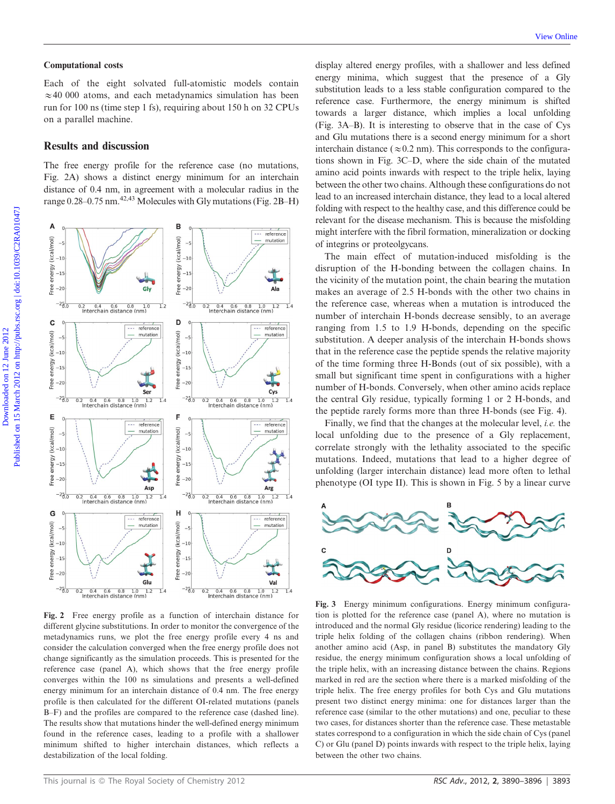#### Computational costs

Each of the eight solvated full-atomistic models contain  $\approx$  40 000 atoms, and each metadynamics simulation has been run for 100 ns (time step 1 fs), requiring about 150 h on 32 CPUs on a parallel machine.

### Results and discussion

The free energy profile for the reference case (no mutations, Fig. 2A) shows a distinct energy minimum for an interchain distance of 0.4 nm, in agreement with a molecular radius in the range  $0.28-0.75$  nm.<sup>42,43</sup> Molecules with Gly mutations (Fig. 2B–H)



Fig. 2 Free energy profile as a function of interchain distance for different glycine substitutions. In order to monitor the convergence of the metadynamics runs, we plot the free energy profile every 4 ns and consider the calculation converged when the free energy profile does not change significantly as the simulation proceeds. This is presented for the reference case (panel A), which shows that the free energy profile converges within the 100 ns simulations and presents a well-defined energy minimum for an interchain distance of 0.4 nm. The free energy profile is then calculated for the different OI-related mutations (panels B–F) and the profiles are compared to the reference case (dashed line). The results show that mutations hinder the well-defined energy minimum found in the reference cases, leading to a profile with a shallower minimum shifted to higher interchain distances, which reflects a destabilization of the local folding.

display altered energy profiles, with a shallower and less defined energy minima, which suggest that the presence of a Gly substitution leads to a less stable configuration compared to the reference case. Furthermore, the energy minimum is shifted towards a larger distance, which implies a local unfolding (Fig. 3A–B). It is interesting to observe that in the case of Cys and Glu mutations there is a second energy minimum for a short interchain distance ( $\approx 0.2$  nm). This corresponds to the configurations shown in Fig. 3C–D, where the side chain of the mutated amino acid points inwards with respect to the triple helix, laying between the other two chains. Although these configurations do not lead to an increased interchain distance, they lead to a local altered folding with respect to the healthy case, and this difference could be relevant for the disease mechanism. This is because the misfolding might interfere with the fibril formation, mineralization or docking of integrins or proteolgycans.

The main effect of mutation-induced misfolding is the disruption of the H-bonding between the collagen chains. In the vicinity of the mutation point, the chain bearing the mutation makes an average of 2.5 H-bonds with the other two chains in the reference case, whereas when a mutation is introduced the number of interchain H-bonds decrease sensibly, to an average ranging from 1.5 to 1.9 H-bonds, depending on the specific substitution. A deeper analysis of the interchain H-bonds shows that in the reference case the peptide spends the relative majority of the time forming three H-Bonds (out of six possible), with a small but significant time spent in configurations with a higher number of H-bonds. Conversely, when other amino acids replace the central Gly residue, typically forming 1 or 2 H-bonds, and the peptide rarely forms more than three H-bonds (see Fig. 4).

Finally, we find that the changes at the molecular level, i.e. the local unfolding due to the presence of a Gly replacement, correlate strongly with the lethality associated to the specific mutations. Indeed, mutations that lead to a higher degree of unfolding (larger interchain distance) lead more often to lethal phenotype (OI type II). This is shown in Fig. 5 by a linear curve



Fig. 3 Energy minimum configurations. Energy minimum configuration is plotted for the reference case (panel A), where no mutation is introduced and the normal Gly residue (licorice rendering) leading to the triple helix folding of the collagen chains (ribbon rendering). When another amino acid (Asp, in panel B) substitutes the mandatory Gly residue, the energy minimum configuration shows a local unfolding of the triple helix, with an increasing distance between the chains. Regions marked in red are the section where there is a marked misfolding of the triple helix. The free energy profiles for both Cys and Glu mutations present two distinct energy minima: one for distances larger than the reference case (similar to the other mutations) and one, peculiar to these two cases, for distances shorter than the reference case. These metastable states correspond to a configuration in which the side chain of Cys (panel C) or Glu (panel D) points inwards with respect to the triple helix, laying between the other two chains.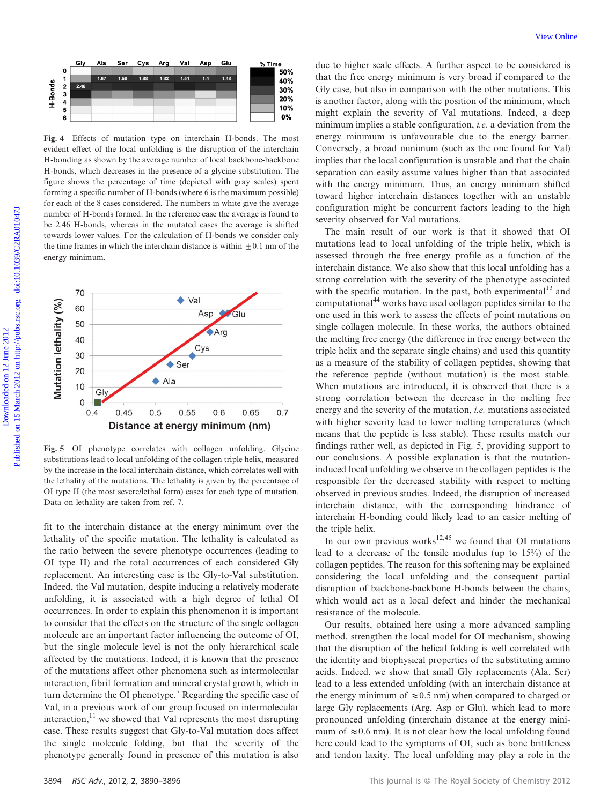

Fig. 4 Effects of mutation type on interchain H-bonds. The most evident effect of the local unfolding is the disruption of the interchain H-bonding as shown by the average number of local backbone-backbone H-bonds, which decreases in the presence of a glycine substitution. The figure shows the percentage of time (depicted with gray scales) spent forming a specific number of H-bonds (where 6 is the maximum possible) for each of the 8 cases considered. The numbers in white give the average number of H-bonds formed. In the reference case the average is found to be 2.46 H-bonds, whereas in the mutated cases the average is shifted towards lower values. For the calculation of H-bonds we consider only the time frames in which the interchain distance is within  $\pm 0.1$  nm of the energy minimum.



Fig. 5 OI phenotype correlates with collagen unfolding. Glycine substitutions lead to local unfolding of the collagen triple helix, measured by the increase in the local interchain distance, which correlates well with the lethality of the mutations. The lethality is given by the percentage of OI type II (the most severe/lethal form) cases for each type of mutation. Data on lethality are taken from ref. 7.

fit to the interchain distance at the energy minimum over the lethality of the specific mutation. The lethality is calculated as the ratio between the severe phenotype occurrences (leading to OI type II) and the total occurrences of each considered Gly replacement. An interesting case is the Gly-to-Val substitution. Indeed, the Val mutation, despite inducing a relatively moderate unfolding, it is associated with a high degree of lethal OI occurrences. In order to explain this phenomenon it is important to consider that the effects on the structure of the single collagen molecule are an important factor influencing the outcome of OI, but the single molecule level is not the only hierarchical scale affected by the mutations. Indeed, it is known that the presence of the mutations affect other phenomena such as intermolecular interaction, fibril formation and mineral crystal growth, which in turn determine the OI phenotype.<sup>7</sup> Regarding the specific case of Val, in a previous work of our group focused on intermolecular interaction, $^{11}$  we showed that Val represents the most disrupting case. These results suggest that Gly-to-Val mutation does affect the single molecule folding, but that the severity of the phenotype generally found in presence of this mutation is also

due to higher scale effects. A further aspect to be considered is that the free energy minimum is very broad if compared to the Gly case, but also in comparison with the other mutations. This is another factor, along with the position of the minimum, which might explain the severity of Val mutations. Indeed, a deep minimum implies a stable configuration, i.e. a deviation from the energy minimum is unfavourable due to the energy barrier. Conversely, a broad minimum (such as the one found for Val) implies that the local configuration is unstable and that the chain separation can easily assume values higher than that associated with the energy minimum. Thus, an energy minimum shifted toward higher interchain distances together with an unstable configuration might be concurrent factors leading to the high severity observed for Val mutations.

The main result of our work is that it showed that OI mutations lead to local unfolding of the triple helix, which is assessed through the free energy profile as a function of the interchain distance. We also show that this local unfolding has a strong correlation with the severity of the phenotype associated with the specific mutation. In the past, both experimental<sup>13</sup> and computational<sup>44</sup> works have used collagen peptides similar to the one used in this work to assess the effects of point mutations on single collagen molecule. In these works, the authors obtained the melting free energy (the difference in free energy between the triple helix and the separate single chains) and used this quantity as a measure of the stability of collagen peptides, showing that the reference peptide (without mutation) is the most stable. When mutations are introduced, it is observed that there is a strong correlation between the decrease in the melting free energy and the severity of the mutation, i.e. mutations associated with higher severity lead to lower melting temperatures (which means that the peptide is less stable). These results match our findings rather well, as depicted in Fig. 5, providing support to our conclusions. A possible explanation is that the mutationinduced local unfolding we observe in the collagen peptides is the responsible for the decreased stability with respect to melting observed in previous studies. Indeed, the disruption of increased interchain distance, with the corresponding hindrance of interchain H-bonding could likely lead to an easier melting of the triple helix. **EXECUTE:** The control of the state of the state of the control of the state state of the state of the control of the control of the control of the state of the state of the state of the state of the state of the state of

In our own previous works $12,45$  we found that OI mutations lead to a decrease of the tensile modulus (up to 15%) of the collagen peptides. The reason for this softening may be explained considering the local unfolding and the consequent partial disruption of backbone-backbone H-bonds between the chains, which would act as a local defect and hinder the mechanical resistance of the molecule.

Our results, obtained here using a more advanced sampling method, strengthen the local model for OI mechanism, showing that the disruption of the helical folding is well correlated with the identity and biophysical properties of the substituting amino acids. Indeed, we show that small Gly replacements (Ala, Ser) lead to a less extended unfolding (with an interchain distance at the energy minimum of  $\approx 0.5$  nm) when compared to charged or large Gly replacements (Arg, Asp or Glu), which lead to more pronounced unfolding (interchain distance at the energy minimum of  $\approx 0.6$  nm). It is not clear how the local unfolding found here could lead to the symptoms of OI, such as bone brittleness and tendon laxity. The local unfolding may play a role in the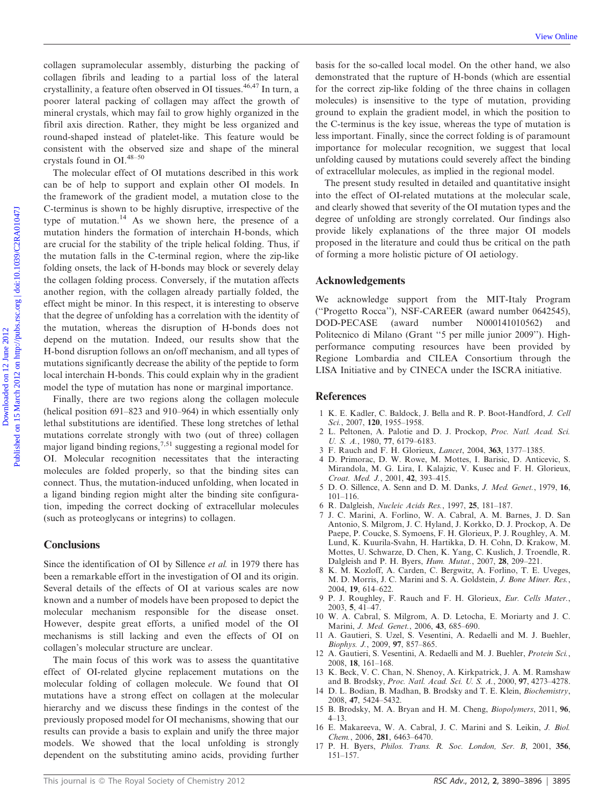collagen supramolecular assembly, disturbing the packing of collagen fibrils and leading to a partial loss of the lateral crystallinity, a feature often observed in OI tissues.<sup>46,47</sup> In turn, a poorer lateral packing of collagen may affect the growth of mineral crystals, which may fail to grow highly organized in the fibril axis direction. Rather, they might be less organized and round-shaped instead of platelet-like. This feature would be consistent with the observed size and shape of the mineral crystals found in OI.48–50

The molecular effect of OI mutations described in this work can be of help to support and explain other OI models. In the framework of the gradient model, a mutation close to the C-terminus is shown to be highly disruptive, irrespective of the type of mutation.<sup>14</sup> As we shown here, the presence of a mutation hinders the formation of interchain H-bonds, which are crucial for the stability of the triple helical folding. Thus, if the mutation falls in the C-terminal region, where the zip-like folding onsets, the lack of H-bonds may block or severely delay the collagen folding process. Conversely, if the mutation affects another region, with the collagen already partially folded, the effect might be minor. In this respect, it is interesting to observe that the degree of unfolding has a correlation with the identity of the mutation, whereas the disruption of H-bonds does not depend on the mutation. Indeed, our results show that the H-bond disruption follows an on/off mechanism, and all types of mutations significantly decrease the ability of the peptide to form local interchain H-bonds. This could explain why in the gradient model the type of mutation has none or marginal importance. collagen supramolecular assembly, disturbing the pucking of basis for the se-called bocal model. On the other hand expansion colleges on partial loss of the lateral dermonstrated basis the printer of Haros control points

Finally, there are two regions along the collagen molecule (helical position 691–823 and 910–964) in which essentially only lethal substitutions are identified. These long stretches of lethal mutations correlate strongly with two (out of three) collagen major ligand binding regions,<sup>7,51</sup> suggesting a regional model for OI. Molecular recognition necessitates that the interacting molecules are folded properly, so that the binding sites can connect. Thus, the mutation-induced unfolding, when located in a ligand binding region might alter the binding site configuration, impeding the correct docking of extracellular molecules (such as proteoglycans or integrins) to collagen.

# **Conclusions**

Since the identification of OI by Sillence et al. in 1979 there has been a remarkable effort in the investigation of OI and its origin. Several details of the effects of OI at various scales are now known and a number of models have been proposed to depict the molecular mechanism responsible for the disease onset. However, despite great efforts, a unified model of the OI mechanisms is still lacking and even the effects of OI on collagen's molecular structure are unclear.

The main focus of this work was to assess the quantitative effect of OI-related glycine replacement mutations on the molecular folding of collagen molecule. We found that OI mutations have a strong effect on collagen at the molecular hierarchy and we discuss these findings in the contest of the previously proposed model for OI mechanisms, showing that our results can provide a basis to explain and unify the three major models. We showed that the local unfolding is strongly dependent on the substituting amino acids, providing further basis for the so-called local model. On the other hand, we also demonstrated that the rupture of H-bonds (which are essential for the correct zip-like folding of the three chains in collagen molecules) is insensitive to the type of mutation, providing ground to explain the gradient model, in which the position to the C-terminus is the key issue, whereas the type of mutation is less important. Finally, since the correct folding is of paramount importance for molecular recognition, we suggest that local unfolding caused by mutations could severely affect the binding of extracellular molecules, as implied in the regional model.

The present study resulted in detailed and quantitative insight into the effect of OI-related mutations at the molecular scale, and clearly showed that severity of the OI mutation types and the degree of unfolding are strongly correlated. Our findings also provide likely explanations of the three major OI models proposed in the literature and could thus be critical on the path of forming a more holistic picture of OI aetiology.

#### Acknowledgements

We acknowledge support from the MIT-Italy Program (''Progetto Rocca''), NSF-CAREER (award number 0642545), DOD-PECASE (award number N000141010562) and Politecnico di Milano (Grant ''5 per mille junior 2009''). Highperformance computing resources have been provided by Regione Lombardia and CILEA Consortium through the LISA Initiative and by CINECA under the ISCRA initiative.

# References

- 1 K. E. Kadler, C. Baldock, J. Bella and R. P. Boot-Handford, J. Cell Sci., 2007, 120, 1955-1958.
- 2 L. Peltonen, A. Palotie and D. J. Prockop, Proc. Natl. Acad. Sci. U. S. A., 1980, 77, 6179–6183.
- 3 F. Rauch and F. H. Glorieux, Lancet, 2004, 363, 1377–1385.
- 4 D. Primorac, D. W. Rowe, M. Mottes, I. Barisic, D. Anticevic, S. Mirandola, M. G. Lira, I. Kalajzic, V. Kusec and F. H. Glorieux, Croat. Med. J., 2001, 42, 393–415.
- 5 D. O. Sillence, A. Senn and D. M. Danks, J. Med. Genet., 1979, 16, 101–116.
- 6 R. Dalgleish, Nucleic Acids Res., 1997, 25, 181–187.
- 7 J. C. Marini, A. Forlino, W. A. Cabral, A. M. Barnes, J. D. San Antonio, S. Milgrom, J. C. Hyland, J. Korkko, D. J. Prockop, A. De Paepe, P. Coucke, S. Symoens, F. H. Glorieux, P. J. Roughley, A. M. Lund, K. Kuurila-Svahn, H. Hartikka, D. H. Cohn, D. Krakow, M. Mottes, U. Schwarze, D. Chen, K. Yang, C. Kuslich, J. Troendle, R. Dalgleish and P. H. Byers, Hum. Mutat., 2007, 28, 209–221.
- 8 K. M. Kozloff, A. Carden, C. Bergwitz, A. Forlino, T. E. Uveges, M. D. Morris, J. C. Marini and S. A. Goldstein, J. Bone Miner. Res., 2004, 19, 614–622.
- 9 P. J. Roughley, F. Rauch and F. H. Glorieux, Eur. Cells Mater., 2003, 5, 41–47.
- 10 W. A. Cabral, S. Milgrom, A. D. Letocha, E. Moriarty and J. C. Marini, J. Med. Genet., 2006, 43, 685–690.
- 11 A. Gautieri, S. Uzel, S. Vesentini, A. Redaelli and M. J. Buehler, Biophys. J., 2009, 97, 857–865.
- 12 A. Gautieri, S. Vesentini, A. Redaelli and M. J. Buehler, Protein Sci., 2008, 18, 161–168.
- 13 K. Beck, V. C. Chan, N. Shenoy, A. Kirkpatrick, J. A. M. Ramshaw and B. Brodsky, Proc. Natl. Acad. Sci. U. S. A., 2000, 97, 4273–4278.
- 14 D. L. Bodian, B. Madhan, B. Brodsky and T. E. Klein, Biochemistry, 2008, 47, 5424–5432.
- 15 B. Brodsky, M. A. Bryan and H. M. Cheng, Biopolymers, 2011, 96, 4–13.
- 16 E. Makareeva, W. A. Cabral, J. C. Marini and S. Leikin, J. Biol. Chem., 2006, 281, 6463–6470.
- 17 P. H. Byers, Philos. Trans. R. Soc. London, Ser. B, 2001, 356, 151–157.